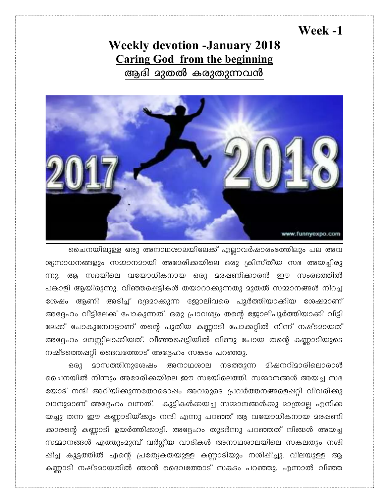## Week -1

## **Weekly devotion -January 2018 Caring God from the beginning** ആദി മുതൽ കരുതുന്നവൻ



ചൈനയിലുള്ള ഒരു അനാഥശാലയിലേക്ക് എല്ലാവർഷാരംഭത്തിലും പല അവ ശ്യസാധനങ്ങളും സമ്മാനമായി അമേരിക്കയിലെ ഒരു ക്രിസ്തീയ സഭ അയച്ചിരു ന്നു. ആ സഭയിലെ വയോധികനായ ഒരു മരഷണിക്കാരൻ ഈ സംരഭത്തിൽ പങ്കാളി ആയിരുന്നു. വീഞ്ഞപ്പെട്ടികൾ തയാറാക്കുന്നതു മുതൽ സമ്മാനങ്ങൾ നിറച്ച ശേഷം ആണി അടിച്ച് ഭദ്രമാക്കുന്ന ജോലിവരെ പൂർത്തിയാക്കിയ ശേഷമാണ് അദ്ദേഹം വീട്ടിലേക്ക് പോകുന്നത്. ഒരു പ്രാവശ്യം തന്റെ ജോലിപൂർത്തിയാക്കി വീട്ടി ലേക്ക് പോകുമ്പോഴാണ് തന്റെ പുതിയ കണ്ണാടി പോക്കറ്റിൽ നിന്ന് നഷ്ടമായത് അദ്ദേഹം മനസ്സിലാക്കിയത്. വീഞ്ഞപ്പെട്ടിയിൽ വീണു പോയ തന്റെ കണ്ണാടിയുടെ നഷ്ടത്തെഷറ്റി ദൈവത്തോട് അദ്ദേഹം സങ്കടം പറഞ്ഞു.

**മാസത്തിനു**ശേഷം അനാഥശാല നടത്തുന്ന മിഷനറിമാരിലൊരാൾ ഒരു ചൈനയിൽ നിന്നും അമേരിക്കയിലെ ഈ സഭയിലെത്തി. സമ്മാനങ്ങൾ അയച്ച സഭ യോട് നന്ദി അറിയിക്കുന്നതോടൊഷം അവരുടെ പ്രവർത്തനങ്ങളെപ്പറ്റി വിവരിക്കു വാനുമാണ് അദ്ദേഹം വന്നത്. കുട്ടികൾക്കയച്ച സമ്മാനങ്ങൾക്കു മാത്രമല്ല എനിക്ക യച്ചു തന്ന ഈ കണ്ണാടിയ്ക്കും നന്ദി എന്നു പറഞ്ഞ് ആ വയോധികനായ മരഷണി ക്കാരന്റെ കണ്ണാടി ഉയർത്തിക്കാട്ടി. അദ്ദേഹം തുടർന്നു പറഞ്ഞത് നിങ്ങൾ അയച്ച സമ്മാനങ്ങൾ എത്തുംമുമ്പ് വർഗ്ഗീയ വാദികൾ അനാഥശാലയിലെ സകലതും നശി പ്പിച്ച കൂട്ടത്തിൽ എന്റെ പ്രത്യേകതയുള്ള കണ്ണാടിയും നശിപ്പിച്ചു. വിലയുള്ള ആ കണ്ണാടി നഷ്ടമായതിൽ ഞാൻ ദൈവത്തോട് സങ്കടം പറഞ്ഞു. എന്നാൽ വീഞ്ഞ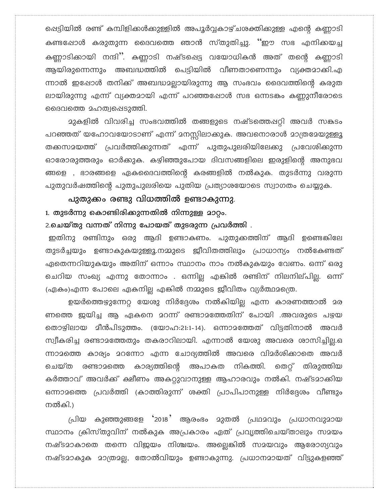പ്പെട്ടിയിൽ രണ്ട് കമ്പിളിക്കൾക്കുള്ളിൽ അപൂർവ്വകാഴ്ചശക്തിക്കുള്ള എന്റെ കണ്ണാടി കണ്ടഷോൾ കരുതുന്ന ദൈവത്തെ ഞാൻ സ്തുതിച്ചു. ''ഈ സഭ എനിക്കയച്ച കണ്ണാടിക്കായി നന്ദി''. കണ്ണാടി നഷ്ടപ്പെട്ട വയോധികൻ അത് തന്റെ കണ്ണാടി ആയിരുന്നെന്നും അബദ്ധത്തിൽ പെട്ടിയിൽ വീണതാണെന്നും വ്യക്തമാക്കി.എ ന്നാൽ ഇഷോൾ തനിക്ക് അബദ്ധമല്ലായിരുന്നു ആ സംഭവം ദൈവത്തിന്റെ കരുത ലായിരുന്നു എന്ന് വ്യക്തമായി എന്ന് പറഞ്ഞപ്പോൾ സഭ ഒന്നടകം കണ്ണുനീരോടെ ദൈവത്തെ മഹത്വപ്പെടുത്തി.

മുകളിൽ വിവരിച്ച സംഭവത്തിൽ തങ്ങളുടെ നഷ്ടത്തെപ്പറ്റി അവർ സങ്കടം പറഞ്ഞത് യഹോവയോടാണ് എന്ന് മനസ്സിലാക്കുക. അവനൊരാൾ മാത്രമേയുള്ളൂ തക്കസമയത്ത് പ്രവർത്തിക്കുന്നത് എന്ന് പുതുപുലരിയിലേക്കു പ്രവേശിക്കുന്ന ഓരോരുത്തരും ഓർക്കുക. കഴിഞ്ഞുപോയ ദിവസങ്ങളിലെ ഇരുളിന്റെ അനുഭവ ങ്ങളെ , ഭാരങ്ങളെ ഏകദൈവത്തിന്റെ കരങ്ങളിൽ നൽകുക. തുടർന്നു വരുന്ന പുതുവർഷത്തിന്റെ പുതുപുലരിയെ പുതിയ പ്രത്യാശയോടെ സ്വാഗതം ചെയ്യുക.

പുതുക്കം രണ്ടു വിധത്തിൽ ഉണ്ടാകുന്നു. 1. തുടർന്നു കൊണ്ടിരിക്കുന്നതിൽ നിന്നുള്ള മാറ്റം.

2.ചെയ്തു വന്നത് നിന്നു പോയത് തുടരുന്ന പ്രവർത്തി .

ഇതിനു രണ്ടിനും ഒരു ആദി ഉണ്ടാകണം. പുതുക്കത്തിന് ആദി ഉണ്ടെകിലേ തുടർച്ചയും ഉണ്ടാകുകയുള്ളൂ.നമ്മുടെ ജീവിതത്തിലും പ്രാധാന്യം നൽകേണ്ടത് ഏതെന്നറിയുകയും അതിന് ഒന്നാം സ്ഥാനം നാം നൽകുകയും വേണം. ഒന്ന് ഒരു ചെറിയ സംഖ്യ എന്നു തോന്നാം . ഒന്നില്ല എങ്കിൽ രണ്ടിന് നിലനില്പില്ല. ഒന്ന് (ഏകം)എന്ന പോലെ ഏകനില്ല എങ്കിൽ നമ്മുടെ ജീവിതം വ്യർത്ഥമത്രെ.

ഉയർത്തെഴുന്നേറ്റ യേശു നിർദ്ദേശം നൽകിയില്ല എന്ന കാരണത്താൽ മര ണത്തെ ജയിച്ച ആ ഏകനെ മറന്ന് രണ്ടാമത്തേതിന് പോയി .അവരുടെ പഴയ തൊഴിലായ മീൻപിടുത്തം. (യോഹ:21:1-14). ഒന്നാമത്തേത് വിട്ടതിനാൽ അവർ സ്വീകരിച്ച രണ്ടാമത്തേതും തകരാറിലായി. എന്നാൽ യേശു അവരെ ശാസിച്ചില്ല.ഒ ന്നാമത്തെ കാര്യം മറന്നോ എന്ന ചോദ്യത്തിൽ അവരെ വിമർശിക്കാതെ അവർ കാര്യത്തിന്റെ ചെയ്ത രണ്ടാമത്തെ അപാകത നികത്തി. തെറ്റ് തിരുത്തിയ കർത്താവ് അവർക്ക് ക്ഷീണം അകറ്റുവാനുള്ള ആഹാരവും നൽകി. നഷ്ടമാക്കിയ ഒന്നാമത്തെ പ്രവർത്തി (കാത്തിരുന്ന് ശക്തി പ്രാപിപാനുള്ള നിർദ്ദേശം വീണ്ടും നൽകി.)

പ്രിയ കുഞ്ഞുങ്ങളേ '2018' ആരംഭം മുതൽ പ്രഥമവും പ്രധാനവുമായ സ്ഥാനം ക്രിസ്തുവിന് നൽകുക അപ്രകാരം ഏത് പ്രവൃത്തിചെയ്താലും സമയം നഷ്ടമാകാതെ തന്നെ വിജയം നിശ്ചയം. അല്ലെങ്കിൽ സമയവും ആരോഗ്യവും നഷ്ടമാകുക മാത്രമല്ല, തോൽവിയും ഉണ്ടാകുന്നു. പ്രധാനമായത് വിട്ടുകളഞ്ഞ്